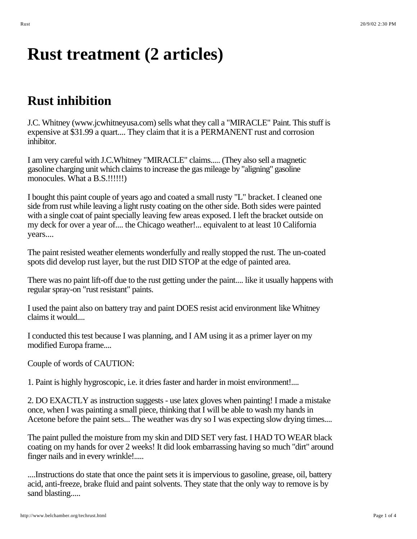## **Rust treatment (2 articles)**

## **Rust inhibition**

J.C. Whitney (www.jcwhitneyusa.com) sells what they call a "MIRACLE" Paint. This stuff is expensive at \$31.99 a quart.... They claim that it is a PERMANENT rust and corrosion inhibitor.

I am very careful with J.C.Whitney "MIRACLE" claims..... (They also sell a magnetic gasoline charging unit which claims to increase the gas mileage by "aligning" gasoline monocules. What a B.S.!!!!!!)

I bought this paint couple of years ago and coated a small rusty "L" bracket. I cleaned one side from rust while leaving a light rusty coating on the other side. Both sides were painted with a single coat of paint specially leaving few areas exposed. I left the bracket outside on my deck for over a year of.... the Chicago weather!... equivalent to at least 10 California years....

The paint resisted weather elements wonderfully and really stopped the rust. The un-coated spots did develop rust layer, but the rust DID STOP at the edge of painted area.

There was no paint lift-off due to the rust getting under the paint.... like it usually happens with regular spray-on "rust resistant" paints.

I used the paint also on battery tray and paint DOES resist acid environment like Whitney claims it would....

I conducted this test because I was planning, and I AM using it as a primer layer on my modified Europa frame....

Couple of words of CAUTION:

1. Paint is highly hygroscopic, i.e. it dries faster and harder in moist environment!....

2. DO EXACTLY as instruction suggests - use latex gloves when painting! I made a mistake once, when I was painting a small piece, thinking that I will be able to wash my hands in Acetone before the paint sets... The weather was dry so I was expecting slow drying times....

The paint pulled the moisture from my skin and DID SET very fast. I HAD TO WEAR black coating on my hands for over 2 weeks! It did look embarrassing having so much "dirt" around finger nails and in every wrinkle!.....

....Instructions do state that once the paint sets it is impervious to gasoline, grease, oil, battery acid, anti-freeze, brake fluid and paint solvents. They state that the only way to remove is by sand blasting.....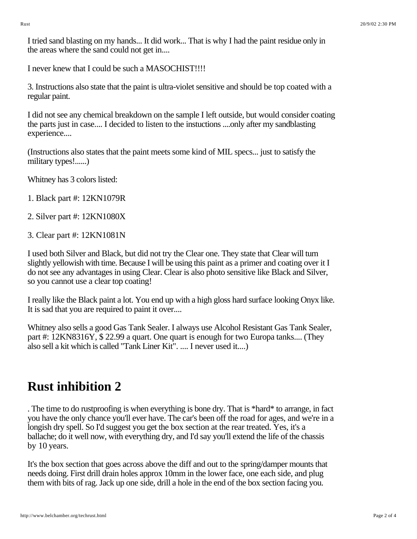I tried sand blasting on my hands... It did work... That is why I had the paint residue only in the areas where the sand could not get in....

I never knew that I could be such a MASOCHIST!!!!

3. Instructions also state that the paint is ultra-violet sensitive and should be top coated with a regular paint.

I did not see any chemical breakdown on the sample I left outside, but would consider coating the parts just in case.... I decided to listen to the instuctions ....only after my sandblasting experience....

(Instructions also states that the paint meets some kind of MIL specs... just to satisfy the military types!......)

Whitney has 3 colors listed:

- 1. Black part #: 12KN1079R
- 2. Silver part #: 12KN1080X
- 3. Clear part #: 12KN1081N

I used both Silver and Black, but did not try the Clear one. They state that Clear will turn slightly yellowish with time. Because I will be using this paint as a primer and coating over it I do not see any advantages in using Clear. Clear is also photo sensitive like Black and Silver, so you cannot use a clear top coating!

I really like the Black paint a lot. You end up with a high gloss hard surface looking Onyx like. It is sad that you are required to paint it over....

Whitney also sells a good Gas Tank Sealer. I always use Alcohol Resistant Gas Tank Sealer, part #: 12KN8316Y, \$ 22.99 a quart. One quart is enough for two Europa tanks.... (They also sell a kit which is called "Tank Liner Kit". .... I never used it....)

## **Rust inhibition 2**

. The time to do rustproofing is when everything is bone dry. That is \*hard\* to arrange, in fact you have the only chance you'll ever have. The car's been off the road for ages, and we're in a longish dry spell. So I'd suggest you get the box section at the rear treated. Yes, it's a ballache; do it well now, with everything dry, and I'd say you'll extend the life of the chassis by 10 years.

It's the box section that goes across above the diff and out to the spring/damper mounts that needs doing. First drill drain holes approx 10mm in the lower face, one each side, and plug them with bits of rag. Jack up one side, drill a hole in the end of the box section facing you.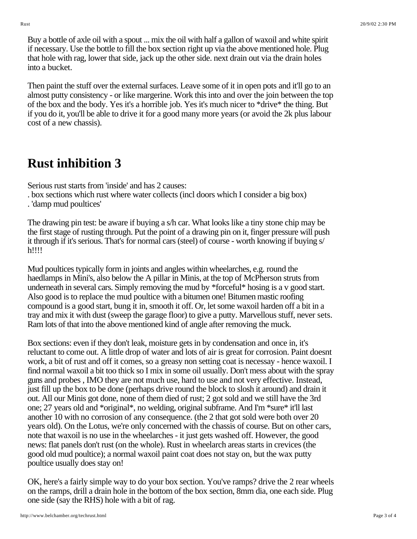Buy a bottle of axle oil with a spout ... mix the oil with half a gallon of waxoil and white spirit if necessary. Use the bottle to fill the box section right up via the above mentioned hole. Plug that hole with rag, lower that side, jack up the other side. next drain out via the drain holes into a bucket.

Then paint the stuff over the external surfaces. Leave some of it in open pots and it'll go to an almost putty consistency - or like margerine. Work this into and over the join between the top of the box and the body. Yes it's a horrible job. Yes it's much nicer to \*drive\* the thing. But if you do it, you'll be able to drive it for a good many more years (or avoid the 2k plus labour cost of a new chassis).

## **Rust inhibition 3**

Serious rust starts from 'inside' and has 2 causes:

. box sections which rust where water collects (incl doors which I consider a big box)

. 'damp mud poultices'

The drawing pin test: be aware if buying a s/h car. What looks like a tiny stone chip may be the first stage of rusting through. Put the point of a drawing pin on it, finger pressure will push it through if it's serious. That's for normal cars (steel) of course - worth knowing if buying s/ h!!!!

Mud poultices typically form in joints and angles within wheelarches, e.g. round the haedlamps in Mini's, also below the A pillar in Minis, at the top of McPherson struts from underneath in several cars. Simply removing the mud by \*forceful\* hosing is a v good start. Also good is to replace the mud poultice with a bitumen one! Bitumen mastic roofing compound is a good start, bung it in, smooth it off. Or, let some waxoil harden off a bit in a tray and mix it with dust (sweep the garage floor) to give a putty. Marvellous stuff, never sets. Ram lots of that into the above mentioned kind of angle after removing the muck.

Box sections: even if they don't leak, moisture gets in by condensation and once in, it's reluctant to come out. A little drop of water and lots of air is great for corrosion. Paint doesnt work, a bit of rust and off it comes, so a greasy non setting coat is necessay - hence waxoil. I find normal waxoil a bit too thick so I mix in some oil usually. Don't mess about with the spray guns and probes , IMO they are not much use, hard to use and not very effective. Instead, just fill up the box to be done (perhaps drive round the block to slosh it around) and drain it out. All our Minis got done, none of them died of rust; 2 got sold and we still have the 3rd one; 27 years old and \*original\*, no welding, original subframe. And I'm \*sure\* it'll last another 10 with no corrosion of any consequence. (the 2 that got sold were both over 20 years old). On the Lotus, we're only concerned with the chassis of course. But on other cars, note that waxoil is no use in the wheelarches - it just gets washed off. However, the good news: flat panels don't rust (on the whole). Rust in wheelarch areas starts in crevices (the good old mud poultice); a normal waxoil paint coat does not stay on, but the wax putty poultice usually does stay on!

OK, here's a fairly simple way to do your box section. You've ramps? drive the 2 rear wheels on the ramps, drill a drain hole in the bottom of the box section, 8mm dia, one each side. Plug one side (say the RHS) hole with a bit of rag.